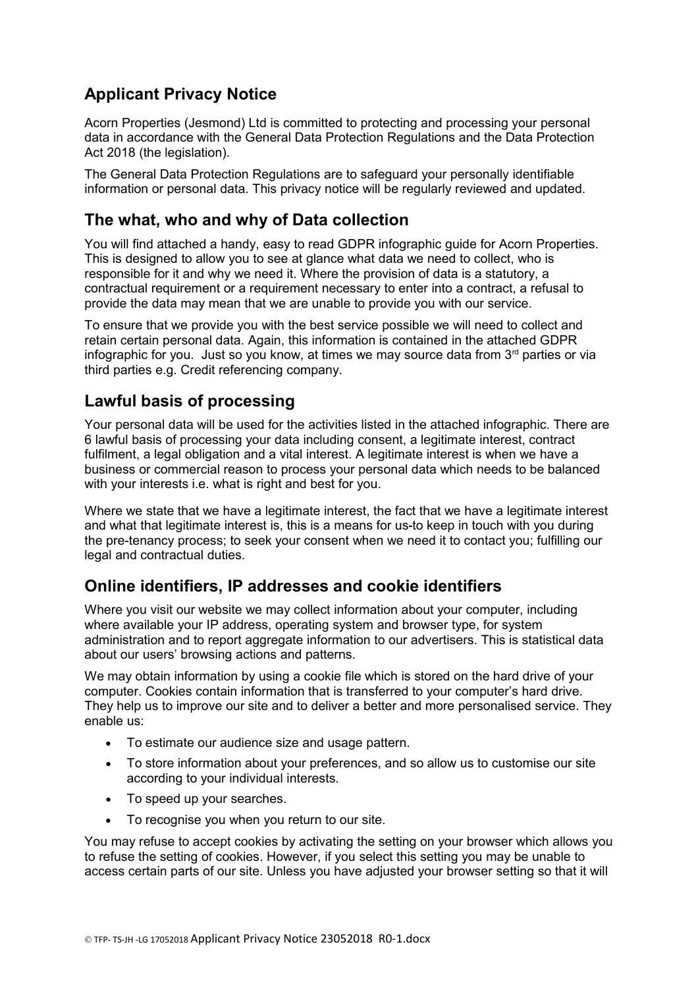# **Applicant Privacy Notice**

Acorn Properties (Jesmond) Ltd is committed to protecting and processing your personal data in accordance with the General Data Protection Regulations and the Data Protection Act 2018 (the legislation).

The General Data Protection Regulations are to safeguard your personally identifiable information or personal data. This privacy notice will be regularly reviewed and updated.

# **The what, who and why of Data collection**

You will find attached a handy, easy to read GDPR infographic guide for Acorn Properties. This is designed to allow you to see at glance what data we need to collect, who is responsible for it and why we need it. Where the provision of data is a statutory, a contractual requirement or a requirement necessary to enter into a contract, a refusal to provide the data may mean that we are unable to provide you with our service.

To ensure that we provide you with the best service possible we will need to collect and retain certain personal data. Again, this information is contained in the attached GDPR infographic for you. Just so you know, at times we may source data from  $3<sup>rd</sup>$  parties or via third parties e.g. Credit referencing company.

# **Lawful basis of processing**

Your personal data will be used for the activities listed in the attached infographic. There are 6 lawful basis of processing your data including consent, a legitimate interest, contract fulfilment, a legal obligation and a vital interest. A legitimate interest is when we have a business or commercial reason to process your personal data which needs to be balanced with your interests i.e. what is right and best for you.

Where we state that we have a legitimate interest, the fact that we have a legitimate interest and what that legitimate interest is, this is a means for us-to keep in touch with you during the pre-tenancy process; to seek your consent when we need it to contact you; fulfilling our legal and contractual duties.

# **Online identifiers, IP addresses and cookie identifiers**

Where you visit our website we may collect information about your computer, including where available your IP address, operating system and browser type, for system administration and to report aggregate information to our advertisers. This is statistical data about our users' browsing actions and patterns.

We may obtain information by using a cookie file which is stored on the hard drive of your computer. Cookies contain information that is transferred to your computer's hard drive. They help us to improve our site and to deliver a better and more personalised service. They enable us:

- To estimate our audience size and usage pattern.
- To store information about your preferences, and so allow us to customise our site according to your individual interests.
- To speed up your searches.
- To recognise you when you return to our site.

You may refuse to accept cookies by activating the setting on your browser which allows you to refuse the setting of cookies. However, if you select this setting you may be unable to access certain parts of our site. Unless you have adjusted your browser setting so that it will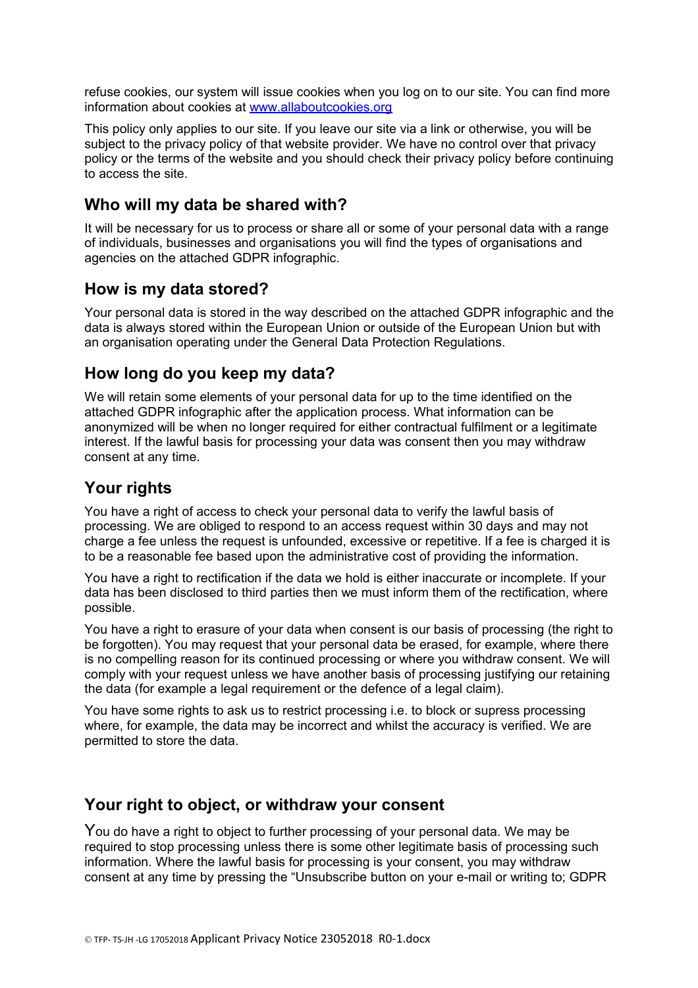refuse cookies, our system will issue cookies when you log on to our site. You can find more information about cookies at [www.allaboutcookies.org](http://www.allaboutcookies.org/)

This policy only applies to our site. If you leave our site via a link or otherwise, you will be subject to the privacy policy of that website provider. We have no control over that privacy policy or the terms of the website and you should check their privacy policy before continuing to access the site.

### **Who will my data be shared with?**

It will be necessary for us to process or share all or some of your personal data with a range of individuals, businesses and organisations you will find the types of organisations and agencies on the attached GDPR infographic.

#### **How is my data stored?**

Your personal data is stored in the way described on the attached GDPR infographic and the data is always stored within the European Union or outside of the European Union but with an organisation operating under the General Data Protection Regulations.

### **How long do you keep my data?**

We will retain some elements of your personal data for up to the time identified on the attached GDPR infographic after the application process. What information can be anonymized will be when no longer required for either contractual fulfilment or a legitimate interest. If the lawful basis for processing your data was consent then you may withdraw consent at any time.

# **Your rights**

You have a right of access to check your personal data to verify the lawful basis of processing. We are obliged to respond to an access request within 30 days and may not charge a fee unless the request is unfounded, excessive or repetitive. If a fee is charged it is to be a reasonable fee based upon the administrative cost of providing the information.

You have a right to rectification if the data we hold is either inaccurate or incomplete. If your data has been disclosed to third parties then we must inform them of the rectification, where possible.

You have a right to erasure of your data when consent is our basis of processing (the right to be forgotten). You may request that your personal data be erased, for example, where there is no compelling reason for its continued processing or where you withdraw consent. We will comply with your request unless we have another basis of processing justifying our retaining the data (for example a legal requirement or the defence of a legal claim).

You have some rights to ask us to restrict processing i.e. to block or supress processing where, for example, the data may be incorrect and whilst the accuracy is verified. We are permitted to store the data.

#### **Your right to object, or withdraw your consent**

You do have a right to object to further processing of your personal data. We may be required to stop processing unless there is some other legitimate basis of processing such information. Where the lawful basis for processing is your consent, you may withdraw consent at any time by pressing the "Unsubscribe button on your e-mail or writing to; GDPR